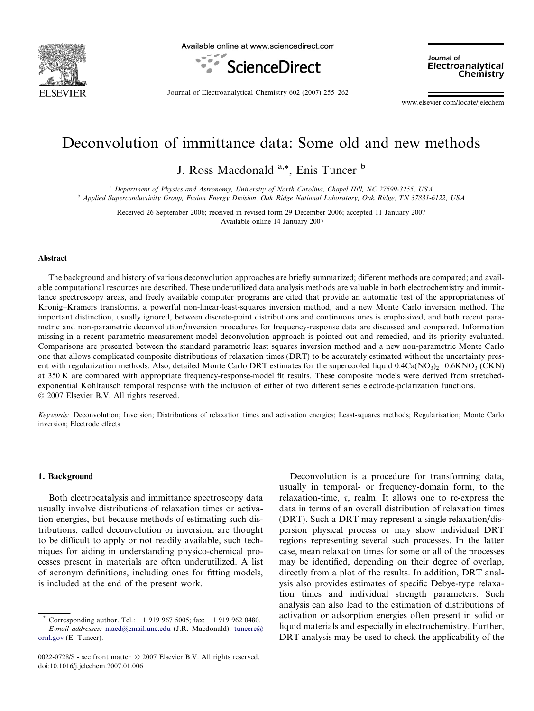

Available online at www.sciencedirect.com



Journal of Electroanalytical Chemistry

Journal of Electroanalytical Chemistry 602 (2007) 255–262

www.elsevier.com/locate/jelechem

# Deconvolution of immittance data: Some old and new methods

J. Ross Macdonald <sup>a,\*</sup>, Enis Tuncer <sup>b</sup>

<sup>a</sup> Department of Physics and Astronomy, University of North Carolina, Chapel Hill, NC 27599-3255, USA <sup>b</sup> Applied Superconductivity Group, Fusion Energy Division, Oak Ridge National Laboratory, Oak Ridge, TN 37831-6122, USA

> Received 26 September 2006; received in revised form 29 December 2006; accepted 11 January 2007 Available online 14 January 2007

#### Abstract

The background and history of various deconvolution approaches are briefly summarized; different methods are compared; and available computational resources are described. These underutilized data analysis methods are valuable in both electrochemistry and immittance spectroscopy areas, and freely available computer programs are cited that provide an automatic test of the appropriateness of Kronig–Kramers transforms, a powerful non-linear-least-squares inversion method, and a new Monte Carlo inversion method. The important distinction, usually ignored, between discrete-point distributions and continuous ones is emphasized, and both recent parametric and non-parametric deconvolution/inversion procedures for frequency-response data are discussed and compared. Information missing in a recent parametric measurement-model deconvolution approach is pointed out and remedied, and its priority evaluated. Comparisons are presented between the standard parametric least squares inversion method and a new non-parametric Monte Carlo one that allows complicated composite distributions of relaxation times (DRT) to be accurately estimated without the uncertainty present with regularization methods. Also, detailed Monte Carlo DRT estimates for the supercooled liquid  $0.4Ca(NO<sub>3</sub>)<sub>2</sub> · 0.6KNO<sub>3</sub> (CKN)$ at 350 K are compared with appropriate frequency-response-model fit results. These composite models were derived from stretchedexponential Kohlrausch temporal response with the inclusion of either of two different series electrode-polarization functions.  $© 2007 Elsevier B.V. All rights reserved.$ 

Keywords: Deconvolution; Inversion; Distributions of relaxation times and activation energies; Least-squares methods; Regularization; Monte Carlo inversion; Electrode effects

## 1. Background

Both electrocatalysis and immittance spectroscopy data usually involve distributions of relaxation times or activation energies, but because methods of estimating such distributions, called deconvolution or inversion, are thought to be difficult to apply or not readily available, such techniques for aiding in understanding physico-chemical processes present in materials are often underutilized. A list of acronym definitions, including ones for fitting models, is included at the end of the present work.

Deconvolution is a procedure for transforming data, usually in temporal- or frequency-domain form, to the relaxation-time,  $\tau$ , realm. It allows one to re-express the data in terms of an overall distribution of relaxation times (DRT). Such a DRT may represent a single relaxation/dispersion physical process or may show individual DRT regions representing several such processes. In the latter case, mean relaxation times for some or all of the processes may be identified, depending on their degree of overlap, directly from a plot of the results. In addition, DRT analysis also provides estimates of specific Debye-type relaxation times and individual strength parameters. Such analysis can also lead to the estimation of distributions of activation or adsorption energies often present in solid or liquid materials and especially in electrochemistry. Further, DRT analysis may be used to check the applicability of the

Corresponding author. Tel.: +1 919 967 5005; fax: +1 919 962 0480. E-mail addresses: [macd@email.unc.edu](mailto:macd@email.unc.edu) (J.R. Macdonald), [tuncere@](mailto:tuncere@ ornl.gov) [ornl.gov](mailto:tuncere@ ornl.gov) (E. Tuncer).

<sup>0022-0728/\$ -</sup> see front matter © 2007 Elsevier B.V. All rights reserved. doi:10.1016/j.jelechem.2007.01.006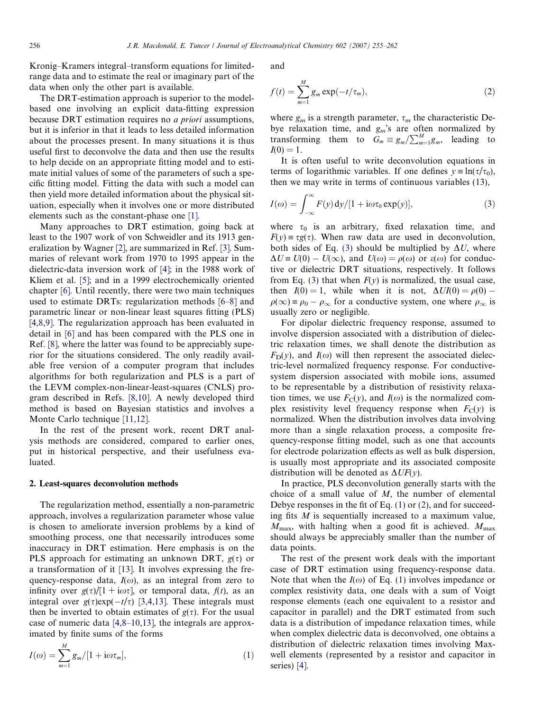<span id="page-1-0"></span>Kronig–Kramers integral–transform equations for limitedrange data and to estimate the real or imaginary part of the data when only the other part is available.

The DRT-estimation approach is superior to the modelbased one involving an explicit data-fitting expression because DRT estimation requires no a priori assumptions, but it is inferior in that it leads to less detailed information about the processes present. In many situations it is thus useful first to deconvolve the data and then use the results to help decide on an appropriate fitting model and to estimate initial values of some of the parameters of such a specific fitting model. Fitting the data with such a model can then yield more detailed information about the physical situation, especially when it involves one or more distributed elements such as the constant-phase one [\[1\]](#page-6-0).

Many approaches to DRT estimation, going back at least to the 1907 work of von Schweidler and its 1913 generalization by Wagner [\[2\],](#page-6-0) are summarized in Ref. [\[3\]](#page-6-0). Summaries of relevant work from 1970 to 1995 appear in the dielectric-data inversion work of [\[4\]](#page-6-0); in the 1988 work of Kliem et al. [\[5\]](#page-6-0); and in a 1999 electrochemically oriented chapter [\[6\]](#page-6-0). Until recently, there were two main techniques used to estimate DRTs: regularization methods [\[6–8\]](#page-6-0) and parametric linear or non-linear least squares fitting (PLS) [\[4,8,9\].](#page-6-0) The regularization approach has been evaluated in detail in [\[6\]](#page-6-0) and has been compared with the PLS one in Ref. [\[8\],](#page-6-0) where the latter was found to be appreciably superior for the situations considered. The only readily available free version of a computer program that includes algorithms for both regularization and PLS is a part of the LEVM complex-non-linear-least-squares (CNLS) program described in Refs. [\[8,10\]](#page-6-0). A newly developed third method is based on Bayesian statistics and involves a Monte Carlo technique [\[11,12\].](#page-6-0)

In the rest of the present work, recent DRT analysis methods are considered, compared to earlier ones, put in historical perspective, and their usefulness evaluated.

## 2. Least-squares deconvolution methods

The regularization method, essentially a non-parametric approach, involves a regularization parameter whose value is chosen to ameliorate inversion problems by a kind of smoothing process, one that necessarily introduces some inaccuracy in DRT estimation. Here emphasis is on the PLS approach for estimating an unknown DRT,  $g(\tau)$  or a transformation of it [\[13\].](#page-7-0) It involves expressing the frequency-response data,  $I(\omega)$ , as an integral from zero to infinity over  $g(\tau)/[1 + i\omega\tau]$ , or temporal data,  $f(t)$ , as an integral over  $g(\tau)$ exp( $-t/\tau$ ) [\[3,4,13\]](#page-6-0). These integrals must then be inverted to obtain estimates of  $g(\tau)$ . For the usual case of numeric data [\[4,8–10,13\]](#page-6-0), the integrals are approximated by finite sums of the forms

$$
I(\omega) = \sum_{m=1}^{M} g_m / [1 + i\omega \tau_m], \qquad (1)
$$

and

$$
f(t) = \sum_{m=1}^{M} g_m \exp(-t/\tau_m),
$$
\n(2)

where  $g_m$  is a strength parameter,  $\tau_m$  the characteristic Debye relaxation time, and  $g_m$ 's are often normalized by transforming them to  $G_m \equiv g_m / \sum_{m=1}^{M} g_m$ , leading to  $I(0) = 1.$ 

It is often useful to write deconvolution equations in terms of logarithmic variables. If one defines  $y = \ln(\tau/\tau_0)$ , then we may write in terms of continuous variables (13),

$$
I(\omega) = \int_{-\infty}^{\infty} F(y) \, \mathrm{d}y/[1 + \mathrm{i}\omega \tau_0 \exp(y)],\tag{3}
$$

where  $\tau_0$  is an arbitrary, fixed relaxation time, and  $F(y) \equiv \tau g(\tau)$ . When raw data are used in deconvolution, both sides of Eq. (3) should be multiplied by  $\Delta U$ , where  $\Delta U \equiv U(0) - U(\infty)$ , and  $U(\omega) = \rho(\omega)$  or  $\varepsilon(\omega)$  for conductive or dielectric DRT situations, respectively. It follows from Eq. (3) that when  $F(y)$  is normalized, the usual case, then  $I(0) = 1$ , while when it is not,  $\Delta UI(0) = \rho(0)$  - $\rho(\infty) \equiv \rho_0 - \rho_\infty$  for a conductive system, one where  $\rho_\infty$  is usually zero or negligible.

For dipolar dielectric frequency response, assumed to involve dispersion associated with a distribution of dielectric relaxation times, we shall denote the distribution as  $F<sub>D</sub>(v)$ , and  $I(\omega)$  will then represent the associated dielectric-level normalized frequency response. For conductivesystem dispersion associated with mobile ions, assumed to be representable by a distribution of resistivity relaxation times, we use  $F_C(y)$ , and  $I(\omega)$  is the normalized complex resistivity level frequency response when  $F_C(y)$  is normalized. When the distribution involves data involving more than a single relaxation process, a composite frequency-response fitting model, such as one that accounts for electrode polarization effects as well as bulk dispersion, is usually most appropriate and its associated composite distribution will be denoted as  $\Delta UF(y)$ .

In practice, PLS deconvolution generally starts with the choice of a small value of  $M$ , the number of elemental Debye responses in the fit of Eq. (1) or (2), and for succeeding fits M is sequentially increased to a maximum value,  $M_{\text{max}}$ , with halting when a good fit is achieved.  $M_{\text{max}}$ should always be appreciably smaller than the number of data points.

The rest of the present work deals with the important case of DRT estimation using frequency-response data. Note that when the  $I(\omega)$  of Eq. (1) involves impedance or complex resistivity data, one deals with a sum of Voigt response elements (each one equivalent to a resistor and capacitor in parallel) and the DRT estimated from such data is a distribution of impedance relaxation times, while when complex dielectric data is deconvolved, one obtains a distribution of dielectric relaxation times involving Maxwell elements (represented by a resistor and capacitor in series) [\[4\].](#page-6-0)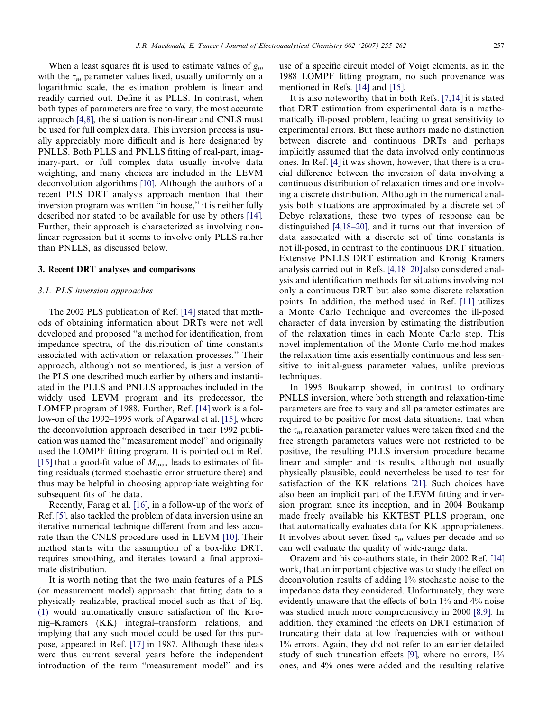When a least squares fit is used to estimate values of  $g_m$ with the  $\tau_m$  parameter values fixed, usually uniformly on a logarithmic scale, the estimation problem is linear and readily carried out. Define it as PLLS. In contrast, when both types of parameters are free to vary, the most accurate approach [\[4,8\],](#page-6-0) the situation is non-linear and CNLS must be used for full complex data. This inversion process is usually appreciably more difficult and is here designated by PNLLS. Both PLLS and PNLLS fitting of real-part, imaginary-part, or full complex data usually involve data weighting, and many choices are included in the LEVM deconvolution algorithms [\[10\]](#page-6-0). Although the authors of a recent PLS DRT analysis approach mention that their inversion program was written "in house," it is neither fully described nor stated to be available for use by others [\[14\].](#page-7-0) Further, their approach is characterized as involving nonlinear regression but it seems to involve only PLLS rather than PNLLS, as discussed below.

#### 3. Recent DRT analyses and comparisons

# 3.1. PLS inversion approaches

The 2002 PLS publication of Ref. [\[14\]](#page-7-0) stated that methods of obtaining information about DRTs were not well developed and proposed ''a method for identification, from impedance spectra, of the distribution of time constants associated with activation or relaxation processes.'' Their approach, although not so mentioned, is just a version of the PLS one described much earlier by others and instantiated in the PLLS and PNLLS approaches included in the widely used LEVM program and its predecessor, the LOMFP program of 1988. Further, Ref. [\[14\]](#page-7-0) work is a follow-on of the 1992–1995 work of Agarwal et al. [\[15\]](#page-7-0), where the deconvolution approach described in their 1992 publication was named the ''measurement model'' and originally used the LOMPF fitting program. It is pointed out in Ref. [\[15\]](#page-7-0) that a good-fit value of  $M_{\text{max}}$  leads to estimates of fitting residuals (termed stochastic error structure there) and thus may be helpful in choosing appropriate weighting for subsequent fits of the data.

Recently, Farag et al. [\[16\]](#page-7-0), in a follow-up of the work of Ref. [\[5\]](#page-6-0), also tackled the problem of data inversion using an iterative numerical technique different from and less accurate than the CNLS procedure used in LEVM [\[10\]](#page-6-0). Their method starts with the assumption of a box-like DRT, requires smoothing, and iterates toward a final approximate distribution.

It is worth noting that the two main features of a PLS (or measurement model) approach: that fitting data to a physically realizable, practical model such as that of Eq. [\(1\)](#page-1-0) would automatically ensure satisfaction of the Kronig–Kramers (KK) integral–transform relations, and implying that any such model could be used for this purpose, appeared in Ref. [\[17\]](#page-7-0) in 1987. Although these ideas were thus current several years before the independent introduction of the term ''measurement model'' and its use of a specific circuit model of Voigt elements, as in the 1988 LOMPF fitting program, no such provenance was mentioned in Refs. [\[14\]](#page-7-0) and [\[15\]](#page-7-0).

It is also noteworthy that in both Refs. [\[7,14\]](#page-6-0) it is stated that DRT estimation from experimental data is a mathematically ill-posed problem, leading to great sensitivity to experimental errors. But these authors made no distinction between discrete and continuous DRTs and perhaps implicitly assumed that the data involved only continuous ones. In Ref. [\[4\]](#page-6-0) it was shown, however, that there is a crucial difference between the inversion of data involving a continuous distribution of relaxation times and one involving a discrete distribution. Although in the numerical analysis both situations are approximated by a discrete set of Debye relaxations, these two types of response can be distinguished [\[4,18–20\]](#page-6-0), and it turns out that inversion of data associated with a discrete set of time constants is not ill-posed, in contrast to the continuous DRT situation. Extensive PNLLS DRT estimation and Kronig–Kramers analysis carried out in Refs. [\[4,18–20\]](#page-6-0) also considered analysis and identification methods for situations involving not only a continuous DRT but also some discrete relaxation points. In addition, the method used in Ref. [\[11\]](#page-6-0) utilizes a Monte Carlo Technique and overcomes the ill-posed character of data inversion by estimating the distribution of the relaxation times in each Monte Carlo step. This novel implementation of the Monte Carlo method makes the relaxation time axis essentially continuous and less sensitive to initial-guess parameter values, unlike previous techniques.

In 1995 Boukamp showed, in contrast to ordinary PNLLS inversion, where both strength and relaxation-time parameters are free to vary and all parameter estimates are required to be positive for most data situations, that when the  $\tau_m$  relaxation parameter values were taken fixed and the free strength parameters values were not restricted to be positive, the resulting PLLS inversion procedure became linear and simpler and its results, although not usually physically plausible, could nevertheless be used to test for satisfaction of the KK relations [\[21\]](#page-7-0). Such choices have also been an implicit part of the LEVM fitting and inversion program since its inception, and in 2004 Boukamp made freely available his KKTEST PLLS program, one that automatically evaluates data for KK appropriateness. It involves about seven fixed  $\tau_m$  values per decade and so can well evaluate the quality of wide-range data.

Orazem and his co-authors state, in their 2002 Ref. [\[14\]](#page-7-0) work, that an important objective was to study the effect on deconvolution results of adding 1% stochastic noise to the impedance data they considered. Unfortunately, they were evidently unaware that the effects of both 1% and 4% noise was studied much more comprehensively in 2000 [\[8,9\].](#page-6-0) In addition, they examined the effects on DRT estimation of truncating their data at low frequencies with or without 1% errors. Again, they did not refer to an earlier detailed study of such truncation effects [\[9\]](#page-6-0), where no errors, 1% ones, and 4% ones were added and the resulting relative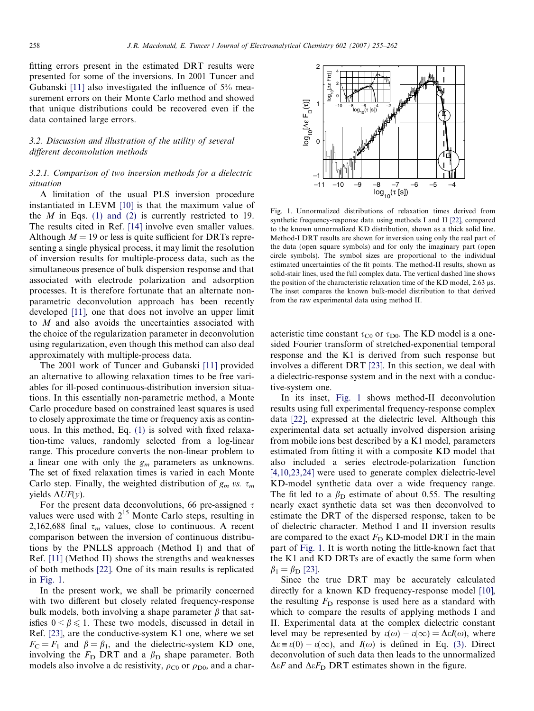<span id="page-3-0"></span>fitting errors present in the estimated DRT results were presented for some of the inversions. In 2001 Tuncer and Gubanski [\[11\]](#page-6-0) also investigated the influence of 5% measurement errors on their Monte Carlo method and showed that unique distributions could be recovered even if the data contained large errors.

# 3.2. Discussion and illustration of the utility of several different deconvolution methods

# 3.2.1. Comparison of two inversion methods for a dielectric situation

A limitation of the usual PLS inversion procedure instantiated in LEVM [\[10\]](#page-6-0) is that the maximum value of the  $M$  in Eqs. [\(1\) and \(2\)](#page-1-0) is currently restricted to 19. The results cited in Ref. [\[14\]](#page-7-0) involve even smaller values. Although  $M = 19$  or less is quite sufficient for DRTs representing a single physical process, it may limit the resolution of inversion results for multiple-process data, such as the simultaneous presence of bulk dispersion response and that associated with electrode polarization and adsorption processes. It is therefore fortunate that an alternate nonparametric deconvolution approach has been recently developed [\[11\]](#page-6-0), one that does not involve an upper limit to M and also avoids the uncertainties associated with the choice of the regularization parameter in deconvolution using regularization, even though this method can also deal approximately with multiple-process data.

The 2001 work of Tuncer and Gubanski [\[11\]](#page-6-0) provided an alternative to allowing relaxation times to be free variables for ill-posed continuous-distribution inversion situations. In this essentially non-parametric method, a Monte Carlo procedure based on constrained least squares is used to closely approximate the time or frequency axis as continuous. In this method, Eq. [\(1\)](#page-1-0) is solved with fixed relaxation-time values, randomly selected from a log-linear range. This procedure converts the non-linear problem to a linear one with only the  $g_m$  parameters as unknowns. The set of fixed relaxation times is varied in each Monte Carlo step. Finally, the weighted distribution of  $g_m$  vs.  $\tau_m$ yields  $\Delta UF(y)$ .

For the present data deconvolutions, 66 pre-assigned  $\tau$ values were used with  $2^{15}$  Monte Carlo steps, resulting in 2,162,688 final  $\tau_m$  values, close to continuous. A recent comparison between the inversion of continuous distributions by the PNLLS approach (Method I) and that of Ref. [\[11\]](#page-6-0) (Method II) shows the strengths and weaknesses of both methods [\[22\]](#page-7-0). One of its main results is replicated in Fig. 1.

In the present work, we shall be primarily concerned with two different but closely related frequency-response bulk models, both involving a shape parameter  $\beta$  that satisfies  $0 \le \beta \le 1$ . These two models, discussed in detail in Ref. [\[23\],](#page-7-0) are the conductive-system K1 one, where we set  $F_C = F_1$  and  $\beta = \beta_1$ , and the dielectric-system KD one, involving the  $F_D$  DRT and a  $\beta_D$  shape parameter. Both models also involve a dc resistivity,  $\rho_{\text{C}0}$  or  $\rho_{\text{D}0}$ , and a char-



Fig. 1. Unnormalized distributions of relaxation times derived from synthetic frequency-response data using methods I and II [\[22\]](#page-7-0), compared to the known unnormalized KD distribution, shown as a thick solid line. Method-I DRT results are shown for inversion using only the real part of the data (open square symbols) and for only the imaginary part (open circle symbols). The symbol sizes are proportional to the individual estimated uncertainties of the fit points. The method-II results, shown as solid-stair lines, used the full complex data. The vertical dashed line shows the position of the characteristic relaxation time of the KD model,  $2.63 \mu s$ . The inset compares the known bulk-model distribution to that derived from the raw experimental data using method II.

acteristic time constant  $\tau_{\text{CO}}$  or  $\tau_{\text{DO}}$ . The KD model is a onesided Fourier transform of stretched-exponential temporal response and the K1 is derived from such response but involves a different DRT [\[23\].](#page-7-0) In this section, we deal with a dielectric-response system and in the next with a conductive-system one.

In its inset, Fig. 1 shows method-II deconvolution results using full experimental frequency-response complex data [\[22\]](#page-7-0), expressed at the dielectric level. Although this experimental data set actually involved dispersion arising from mobile ions best described by a K1 model, parameters estimated from fitting it with a composite KD model that also included a series electrode-polarization function [\[4,10,23,24\]](#page-6-0) were used to generate complex dielectric-level KD-model synthetic data over a wide frequency range. The fit led to a  $\beta_{\rm D}$  estimate of about 0.55. The resulting nearly exact synthetic data set was then deconvolved to estimate the DRT of the dispersed response, taken to be of dielectric character. Method I and II inversion results are compared to the exact  $F<sub>D</sub>$  KD-model DRT in the main part of Fig. 1. It is worth noting the little-known fact that the K1 and KD DRTs are of exactly the same form when  $\beta_1 = \beta_{\text{D}}$  [\[23\].](#page-7-0)

Since the true DRT may be accurately calculated directly for a known KD frequency-response model [\[10\]](#page-6-0), the resulting  $F<sub>D</sub>$  response is used here as a standard with which to compare the results of applying methods I and II. Experimental data at the complex dielectric constant level may be represented by  $\varepsilon(\omega) - \varepsilon(\infty) = \Delta \varepsilon I(\omega)$ , where  $\Delta \varepsilon \equiv \varepsilon(0) - \varepsilon(\infty)$ , and  $I(\omega)$  is defined in Eq. [\(3\).](#page-1-0) Direct deconvolution of such data then leads to the unnormalized  $\Delta \varepsilon F$  and  $\Delta \varepsilon F_D$  DRT estimates shown in the figure.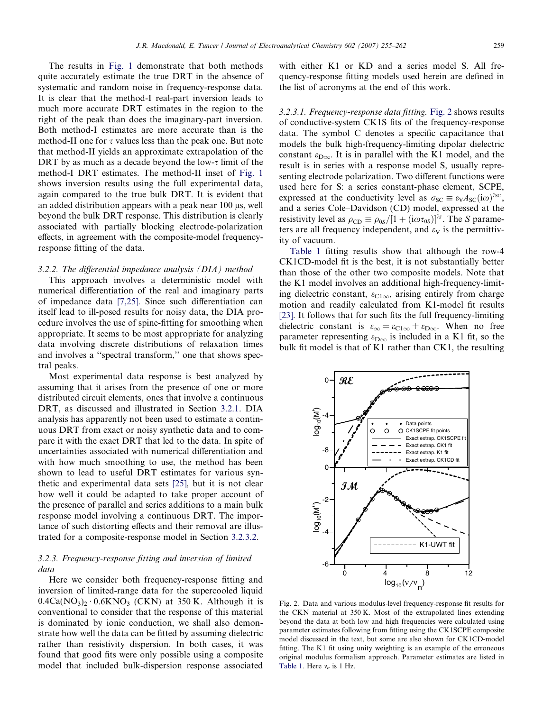<span id="page-4-0"></span>The results in [Fig. 1](#page-3-0) demonstrate that both methods quite accurately estimate the true DRT in the absence of systematic and random noise in frequency-response data. It is clear that the method-I real-part inversion leads to much more accurate DRT estimates in the region to the right of the peak than does the imaginary-part inversion. Both method-I estimates are more accurate than is the method-II one for  $\tau$  values less than the peak one. But note that method-II yields an approximate extrapolation of the DRT by as much as a decade beyond the low- $\tau$  limit of the method-I DRT estimates. The method-II inset of [Fig. 1](#page-3-0) shows inversion results using the full experimental data, again compared to the true bulk DRT. It is evident that an added distribution appears with a peak near  $100 \mu s$ , well beyond the bulk DRT response. This distribution is clearly associated with partially blocking electrode-polarization effects, in agreement with the composite-model frequencyresponse fitting of the data.

### 3.2.2. The differential impedance analysis (DIA) method

This approach involves a deterministic model with numerical differentiation of the real and imaginary parts of impedance data [\[7,25\]](#page-6-0). Since such differentiation can itself lead to ill-posed results for noisy data, the DIA procedure involves the use of spine-fitting for smoothing when appropriate. It seems to be most appropriate for analyzing data involving discrete distributions of relaxation times and involves a ''spectral transform,'' one that shows spectral peaks.

Most experimental data response is best analyzed by assuming that it arises from the presence of one or more distributed circuit elements, ones that involve a continuous DRT, as discussed and illustrated in Section [3.2.1.](#page-3-0) DIA analysis has apparently not been used to estimate a continuous DRT from exact or noisy synthetic data and to compare it with the exact DRT that led to the data. In spite of uncertainties associated with numerical differentiation and with how much smoothing to use, the method has been shown to lead to useful DRT estimates for various synthetic and experimental data sets [\[25\],](#page-7-0) but it is not clear how well it could be adapted to take proper account of the presence of parallel and series additions to a main bulk response model involving a continuous DRT. The importance of such distorting effects and their removal are illustrated for a composite-response model in Section [3.2.3.2](#page-5-0).

# 3.2.3. Frequency-response fitting and inversion of limited data

Here we consider both frequency-response fitting and inversion of limited-range data for the supercooled liquid  $0.4Ca(NO<sub>3</sub>)<sub>2</sub> \cdot 0.6KNO<sub>3</sub>$  (CKN) at 350 K. Although it is conventional to consider that the response of this material is dominated by ionic conduction, we shall also demonstrate how well the data can be fitted by assuming dielectric rather than resistivity dispersion. In both cases, it was found that good fits were only possible using a composite model that included bulk-dispersion response associated with either K1 or KD and a series model S. All frequency-response fitting models used herein are defined in the list of acronyms at the end of this work.

3.2.3.1. Frequency-response data fitting. Fig. 2 shows results of conductive-system CK1S fits of the frequency-response data. The symbol C denotes a specific capacitance that models the bulk high-frequency-limiting dipolar dielectric constant  $\varepsilon_{D\infty}$ . It is in parallel with the K1 model, and the result is in series with a response model S, usually representing electrode polarization. Two different functions were used here for S: a series constant-phase element, SCPE, expressed at the conductivity level as  $\sigma_{SC} \equiv \varepsilon_V A_{SC} (i\omega)^{\gamma_{SC}}$ , and a series Cole–Davidson (CD) model, expressed at the resistivity level as  $\rho_{CD} \equiv \rho_{0S} / [1 + (i\omega\tau_{0S})]^{r_s}$ . The S parameters are all frequency independent, and  $\varepsilon_V$  is the permittivity of vacuum.

[Table 1](#page-5-0) fitting results show that although the row-4 CK1CD-model fit is the best, it is not substantially better than those of the other two composite models. Note that the K1 model involves an additional high-frequency-limiting dielectric constant,  $\varepsilon_{C1\infty}$ , arising entirely from charge motion and readily calculated from K1-model fit results [\[23\].](#page-7-0) It follows that for such fits the full frequency-limiting dielectric constant is  $\varepsilon_{\infty} = \varepsilon_{C1\infty} + \varepsilon_{D\infty}$ . When no free parameter representing  $\varepsilon_{D\infty}$  is included in a K1 fit, so the bulk fit model is that of K1 rather than CK1, the resulting



Fig. 2. Data and various modulus-level frequency-response fit results for the CKN material at 350 K. Most of the extrapolated lines extending beyond the data at both low and high frequencies were calculated using parameter estimates following from fitting using the CK1SCPE composite model discussed in the text, but some are also shown for CK1CD-model fitting. The K1 fit using unity weighting is an example of the erroneous original modulus formalism approach. Parameter estimates are listed in [Table 1](#page-5-0). Here  $v_n$  is 1 Hz.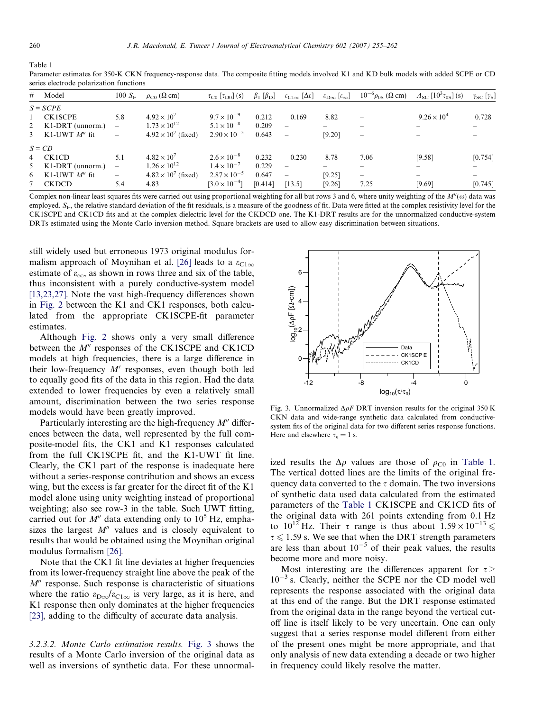<span id="page-5-0"></span>Table 1

Parameter estimates for 350-K CKN frequency-response data. The composite fitting models involved K1 and KD bulk models with added SCPE or CD series electrode polarization functions

|  | # Model            | $100 S_F$                | $\rho_{\rm C0}$ ( $\Omega$ cm) | $\tau_{\text{CO}}$ [ $\tau_{\text{D}0}$ ] (s) | $\beta_1$ [ $\beta_{\rm D}$ ] | $\varepsilon_{\text{C1}\infty} [\Delta \varepsilon]$ | $\epsilon_{\rm D\infty}$ $[\epsilon_{\infty}]$ | $10^{-6} \rho_{0S}$ ( $\Omega$ cm)    | $A_{\rm SC} [10^3 \tau_{0S}]$ (s)     | $\gamma_{SC}$ [ $\gamma_{S}$ ] |
|--|--------------------|--------------------------|--------------------------------|-----------------------------------------------|-------------------------------|------------------------------------------------------|------------------------------------------------|---------------------------------------|---------------------------------------|--------------------------------|
|  | $S = \text{SCPE}$  |                          |                                |                                               |                               |                                                      |                                                |                                       |                                       |                                |
|  | 1 CK1SCPE          | 5.8                      | $4.92 \times 10^{7}$           | $9.7 \times 10^{-9}$                          | 0.212                         | 0.169                                                | 8.82                                           |                                       | $9.26 \times 10^{4}$                  | 0.728                          |
|  | 2 K1-DRT (unnorm.) | $\overline{\phantom{0}}$ | $1.73 \times 10^{12}$          | $5.1 \times 10^{-8}$                          | 0.209                         | $\overline{\phantom{0}}$                             |                                                |                                       | $\hspace{1.0cm} \rule{1.5cm}{0.15cm}$ |                                |
|  | 3 K1-UWT $M''$ fit | $\overline{\phantom{0}}$ | $4.92 \times 10^{7}$ (fixed)   | $2.90 \times 10^{-5}$                         | 0.643                         |                                                      | [9.20]                                         | $\hspace{1.0cm} \rule{1.5cm}{0.15cm}$ | $\overline{\phantom{a}}$              |                                |
|  | $S = CD$           |                          |                                |                                               |                               |                                                      |                                                |                                       |                                       |                                |
|  | 4 CK1CD            | 5.1                      | $4.82 \times 10^{7}$           | $2.6 \times 10^{-8}$                          | 0.232                         | 0.230                                                | 8.78                                           | 7.06                                  | [9.58]                                | [0.754]                        |
|  | 5 K1-DRT (unnorm.) |                          | $1.26 \times 10^{12}$          | $1.4 \times 10^{-7}$                          | 0.229                         |                                                      |                                                |                                       | $\qquad \qquad$                       |                                |
|  | 6 K1-UWT $M''$ fit | $\overline{\phantom{0}}$ | $4.82 \times 10^{7}$ (fixed)   | $2.87 \times 10^{-5}$                         | 0.647                         | $\overline{\phantom{0}}$                             | [9.25]                                         | $\qquad \qquad -$                     | $\hspace{0.05cm}$                     | $\overline{\phantom{0}}$       |
|  | <b>CKDCD</b>       | 5.4                      | 4.83                           | $[3.0 \times 10^{-4}]$                        | [0.414]                       | [13.5]                                               | [9.26]                                         | 7.25                                  | [9.69]                                | [0.745]                        |

Complex non-linear least squares fits were carried out using proportional weighting for all but rows 3 and 6, where unity weighting of the  $M''(\omega)$  data was employed.  $S_F$ , the relative standard deviation of the fit residuals, is a measure of the goodness of fit. Data were fitted at the complex resistivity level for the CK1SCPE and CK1CD fits and at the complex dielectric level for the CKDCD one. The K1-DRT results are for the unnormalized conductive-system DRTs estimated using the Monte Carlo inversion method. Square brackets are used to allow easy discrimination between situations.

still widely used but erroneous 1973 original modulus for-malism approach of Moynihan et al. [\[26\]](#page-7-0) leads to a  $\varepsilon_{\text{Cl}\infty}$ estimate of  $\varepsilon_{\infty}$ , as shown in rows three and six of the table, thus inconsistent with a purely conductive-system model [\[13,23,27\]](#page-7-0). Note the vast high-frequency differences shown in [Fig. 2](#page-4-0) between the K1 and CK1 responses, both calculated from the appropriate CK1SCPE-fit parameter estimates.

Although [Fig. 2](#page-4-0) shows only a very small difference between the  $M''$  responses of the CK1SCPE and CK1CD models at high frequencies, there is a large difference in their low-frequency  $M'$  responses, even though both led to equally good fits of the data in this region. Had the data extended to lower frequencies by even a relatively small amount, discrimination between the two series response models would have been greatly improved.

Particularly interesting are the high-frequency  $M''$  differences between the data, well represented by the full composite-model fits, the CK1 and K1 responses calculated from the full CK1SCPE fit, and the K1-UWT fit line. Clearly, the CK1 part of the response is inadequate here without a series-response contribution and shows an excess wing, but the excess is far greater for the direct fit of the K1 model alone using unity weighting instead of proportional weighting; also see row-3 in the table. Such UWT fitting, carried out for  $M''$  data extending only to 10<sup>5</sup> Hz, emphasizes the largest  $M''$  values and is closely equivalent to results that would be obtained using the Moynihan original modulus formalism [\[26\].](#page-7-0)

Note that the CK1 fit line deviates at higher frequencies from its lower-frequency straight line above the peak of the  $M''$  response. Such response is characteristic of situations where the ratio  $\varepsilon_{D\infty}/\varepsilon_{C1\infty}$  is very large, as it is here, and K1 response then only dominates at the higher frequencies [\[23\]](#page-7-0), adding to the difficulty of accurate data analysis.

3.2.3.2. Monte Carlo estimation results. Fig. 3 shows the results of a Monte Carlo inversion of the original data as well as inversions of synthetic data. For these unnormal-



Fig. 3. Unnormalized  $\Delta \rho F$  DRT inversion results for the original 350 K CKN data and wide-range synthetic data calculated from conductivesystem fits of the original data for two different series response functions. Here and elsewhere  $\tau_n = 1$  s.

ized results the  $\Delta \rho$  values are those of  $\rho_{\text{CO}}$  in Table 1. The vertical dotted lines are the limits of the original frequency data converted to the  $\tau$  domain. The two inversions of synthetic data used data calculated from the estimated parameters of the Table 1 CK1SCPE and CK1CD fits of the original data with 261 points extending from 0.1 Hz to  $10^{12}$  Hz. Their  $\tau$  range is thus about  $1.59 \times 10^{-13}$   $\leq$  $\tau \leq 1.59$  s. We see that when the DRT strength parameters are less than about  $10^{-5}$  of their peak values, the results become more and more noisy.

Most interesting are the differences apparent for  $\tau$  >  $10^{-3}$  s. Clearly, neither the SCPE nor the CD model well represents the response associated with the original data at this end of the range. But the DRT response estimated from the original data in the range beyond the vertical cutoff line is itself likely to be very uncertain. One can only suggest that a series response model different from either of the present ones might be more appropriate, and that only analysis of new data extending a decade or two higher in frequency could likely resolve the matter.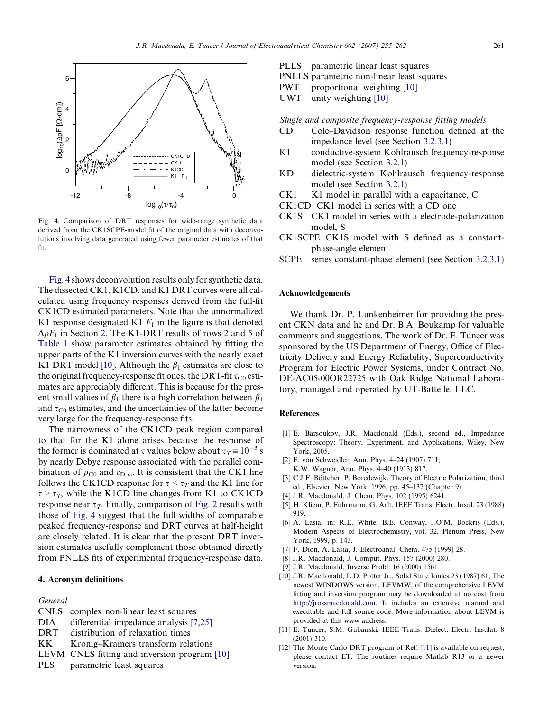<span id="page-6-0"></span>

Fig. 4. Comparison of DRT responses for wide-range synthetic data derived from the CK1SCPE-model fit of the original data with deconvolutions involving data generated using fewer parameter estimates of that fit.

Fig. 4 shows deconvolution results only for synthetic data. The dissected CK1, K1CD, and K1 DRT curves were all calculated using frequency responses derived from the full-fit CK1CD estimated parameters. Note that the unnormalized K1 response designated K1  $F_1$  in the figure is that denoted  $\Delta \rho F_1$  in Section [2](#page-1-0). The K1-DRT results of rows 2 and 5 of [Table 1](#page-5-0) show parameter estimates obtained by fitting the upper parts of the K1 inversion curves with the nearly exact K1 DRT model [10]. Although the  $\beta_1$  estimates are close to the original frequency-response fit ones, the DRT-fit  $\tau_{\rm CO}$  estimates are appreciably different. This is because for the present small values of  $\beta_1$  there is a high correlation between  $\beta_1$ and  $\tau_{\rm CO}$  estimates, and the uncertainties of the latter become very large for the frequency-response fits.

The narrowness of the CK1CD peak region compared to that for the K1 alone arises because the response of the former is dominated at  $\tau$  values below about  $\tau_T = 10^{-3}$  s by nearly Debye response associated with the parallel combination of  $\rho_{\text{C0}}$  and  $\varepsilon_{\text{D}\infty}$ . It is consistent that the CK1 line follows the CK1CD response for  $\tau < \tau_T$  and the K1 line for  $\tau > \tau_T$ , while the K1CD line changes from K1 to CK1CD response near  $\tau_T$ . Finally, comparison of [Fig. 2](#page-4-0) results with those of Fig. 4 suggest that the full widths of comparable peaked frequency-response and DRT curves at half-height are closely related. It is clear that the present DRT inversion estimates usefully complement those obtained directly from PNLLS fits of experimental frequency-response data.

## 4. Acronym definitions

#### General

- CNLS complex non-linear least squares
- DIA differential impedance analysis [7,25]
- DRT distribution of relaxation times
- KK Kronig–Kramers transform relations
- LEVM CNLS fitting and inversion program [10]
- PLS parametric least squares
- PLLS parametric linear least squares
- PNLLS parametric non-linear least squares
- PWT proportional weighting [10]
- UWT unity weighting [10]

Single and composite frequency-response fitting models

- CD Cole–Davidson response function defined at the impedance level (see Section [3.2.3.1\)](#page-4-0)
- K1 conductive-system Kohlrausch frequency-response model (see Section [3.2.1](#page-3-0))
- KD dielectric-system Kohlrausch frequency-response model (see Section [3.2.1](#page-3-0))
- CK1 K1 model in parallel with a capacitance, C
- CK1CD CK1 model in series with a CD one
- CK1S CK1 model in series with a electrode-polarization model, S
- CK1SCPE CK1S model with S defined as a constantphase-angle element
- SCPE series constant-phase element (see Section [3.2.3.1](#page-4-0))

# Acknowledgements

We thank Dr. P. Lunkenheimer for providing the present CKN data and he and Dr. B.A. Boukamp for valuable comments and suggestions. The work of Dr. E. Tuncer was sponsored by the US Department of Energy, Office of Electricity Delivery and Energy Reliability, Superconductivity Program for Electric Power Systems, under Contract No. DE-AC05-00OR22725 with Oak Ridge National Laboratory, managed and operated by UT-Battelle, LLC.

# References

- [1] E. Barsoukov, J.R. Macdonald (Eds.), second ed., Impedance Spectroscopy: Theory, Experiment, and Applications, Wiley, New York, 2005.
- [2] E. von Schweidler, Ann. Phys. 4–24 (1907) 711; K.W. Wagner, Ann. Phys. 4–40 (1913) 817.
- [3] C.J.F. Böttcher, P. Boredewijk, Theory of Electric Polarization, third ed., Elsevier, New York, 1996, pp. 45–137 (Chapter 9).
- [4] J.R. Macdonald, J. Chem. Phys. 102 (1995) 6241.
- [5] H. Kliem, P. Fuhrmann, G. Arlt, IEEE Trans. Electr. Insul. 23 (1988) 919.
- [6] A. Lasia, in: R.E. White, B.E. Conway, J.O'M. Bockris (Eds.), Modern Aspects of Electrochemistry, vol. 32, Plenum Press, New York, 1999, p. 143.
- [7] F. Dion, A. Lasia, J. Electroanal. Chem. 475 (1999) 28.
- [8] J.R. Macdonald, J. Comput. Phys. 157 (2000) 280.
- [9] J.R. Macdonald, Inverse Probl. 16 (2000) 1561.
- [10] J.R. Macdonald, L.D. Potter Jr., Solid State Ionics 23 (1987) 61, The newest WINDOWS version, LEVMW, of the comprehensive LEVM fitting and inversion program may be downloaded at no cost from [http://jrossmacdonald.com.](http://jrossmacdonald.com) It includes an extensive manual and executable and full source code. More information about LEVM is provided at this www address.
- [11] E. Tuncer, S.M. Gubanski, IEEE Trans. Dielect. Electr. Insulat. 8 (2001) 310.
- [12] The Monte Carlo DRT program of Ref. [11] is available on request, please contact ET. The routines require Matlab R13 or a newer version.